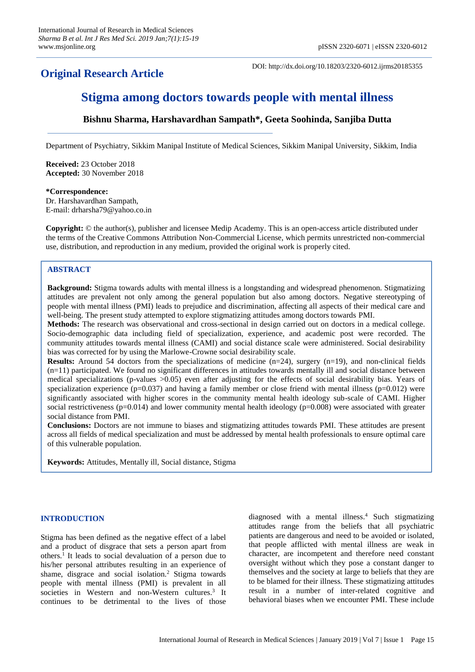## **Original Research Article**

DOI: http://dx.doi.org/10.18203/2320-6012.ijrms20185355

# **Stigma among doctors towards people with mental illness**

## **Bishnu Sharma, Harshavardhan Sampath\*, Geeta Soohinda, Sanjiba Dutta**

Department of Psychiatry, Sikkim Manipal Institute of Medical Sciences, Sikkim Manipal University, Sikkim, India

**Received:** 23 October 2018 **Accepted:** 30 November 2018

**\*Correspondence:** Dr. Harshavardhan Sampath,

E-mail: drharsha79@yahoo.co.in

**Copyright:** © the author(s), publisher and licensee Medip Academy. This is an open-access article distributed under the terms of the Creative Commons Attribution Non-Commercial License, which permits unrestricted non-commercial use, distribution, and reproduction in any medium, provided the original work is properly cited.

## **ABSTRACT**

**Background:** Stigma towards adults with mental illness is a longstanding and widespread phenomenon. Stigmatizing attitudes are prevalent not only among the general population but also among doctors. Negative stereotyping of people with mental illness (PMI) leads to prejudice and discrimination, affecting all aspects of their medical care and well-being. The present study attempted to explore stigmatizing attitudes among doctors towards PMI.

**Methods:** The research was observational and cross-sectional in design carried out on doctors in a medical college. Socio-demographic data including field of specialization, experience, and academic post were recorded. The community attitudes towards mental illness (CAMI) and social distance scale were administered. Social desirability bias was corrected for by using the Marlowe-Crowne social desirability scale.

**Results:** Around 54 doctors from the specializations of medicine  $(n=24)$ , surgery  $(n=19)$ , and non-clinical fields (n=11) participated. We found no significant differences in attitudes towards mentally ill and social distance between medical specializations (p-values >0.05) even after adjusting for the effects of social desirability bias. Years of specialization experience ( $p=0.037$ ) and having a family member or close friend with mental illness ( $p=0.012$ ) were significantly associated with higher scores in the community mental health ideology sub-scale of CAMI. Higher social restrictiveness ( $p=0.014$ ) and lower community mental health ideology ( $p=0.008$ ) were associated with greater social distance from PMI.

**Conclusions:** Doctors are not immune to biases and stigmatizing attitudes towards PMI. These attitudes are present across all fields of medical specialization and must be addressed by mental health professionals to ensure optimal care of this vulnerable population.

**Keywords:** Attitudes, Mentally ill, Social distance, Stigma

## **INTRODUCTION**

Stigma has been defined as the negative effect of a label and a product of disgrace that sets a person apart from others.<sup>1</sup> It leads to social devaluation of a person due to his/her personal attributes resulting in an experience of shame, disgrace and social isolation.<sup>2</sup> Stigma towards people with mental illness (PMI) is prevalent in all societies in Western and non-Western cultures.<sup>3</sup> It continues to be detrimental to the lives of those

diagnosed with a mental illness.<sup>4</sup> Such stigmatizing attitudes range from the beliefs that all psychiatric patients are dangerous and need to be avoided or isolated, that people afflicted with mental illness are weak in character, are incompetent and therefore need constant oversight without which they pose a constant danger to themselves and the society at large to beliefs that they are to be blamed for their illness. These stigmatizing attitudes result in a number of inter-related cognitive and behavioral biases when we encounter PMI. These include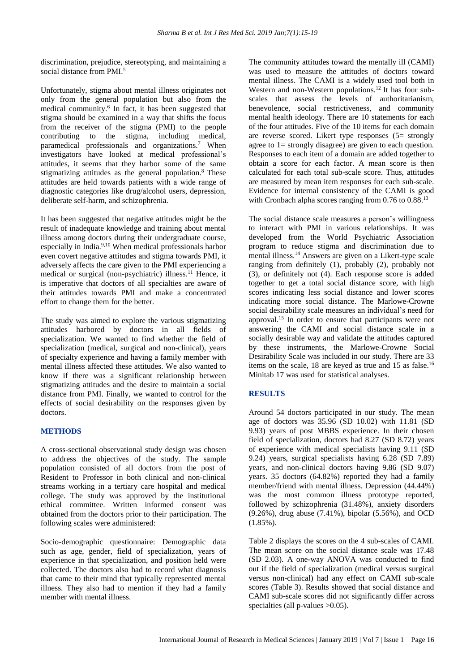discrimination, prejudice, stereotyping, and maintaining a social distance from PMI. 5

Unfortunately, stigma about mental illness originates not only from the general population but also from the medical community.<sup>6</sup> In fact, it has been suggested that stigma should be examined in a way that shifts the focus from the receiver of the stigma (PMI) to the people contributing to the stigma, including medical, paramedical professionals and organizations.<sup>7</sup> When investigators have looked at medical professional's attitudes, it seems that they harbor some of the same stigmatizing attitudes as the general population.<sup>8</sup> These attitudes are held towards patients with a wide range of diagnostic categories like drug/alcohol users, depression, deliberate self-harm, and schizophrenia.

It has been suggested that negative attitudes might be the result of inadequate knowledge and training about mental illness among doctors during their undergraduate course, especially in India.9,10 When medical professionals harbor even covert negative attitudes and stigma towards PMI, it adversely affects the care given to the PMI experiencing a medical or surgical (non-psychiatric) illness.<sup>11</sup> Hence, it is imperative that doctors of all specialties are aware of their attitudes towards PMI and make a concentrated effort to change them for the better.

The study was aimed to explore the various stigmatizing attitudes harbored by doctors in all fields of specialization. We wanted to find whether the field of specialization (medical, surgical and non-clinical), years of specialty experience and having a family member with mental illness affected these attitudes. We also wanted to know if there was a significant relationship between stigmatizing attitudes and the desire to maintain a social distance from PMI. Finally, we wanted to control for the effects of social desirability on the responses given by doctors.

## **METHODS**

A cross-sectional observational study design was chosen to address the objectives of the study. The sample population consisted of all doctors from the post of Resident to Professor in both clinical and non-clinical streams working in a tertiary care hospital and medical college. The study was approved by the institutional ethical committee. Written informed consent was obtained from the doctors prior to their participation. The following scales were administered:

Socio-demographic questionnaire: Demographic data such as age, gender, field of specialization, years of experience in that specialization, and position held were collected. The doctors also had to record what diagnosis that came to their mind that typically represented mental illness. They also had to mention if they had a family member with mental illness.

The community attitudes toward the mentally ill (CAMI) was used to measure the attitudes of doctors toward mental illness. The CAMI is a widely used tool both in Western and non-Western populations.<sup>12</sup> It has four subscales that assess the levels of authoritarianism, benevolence, social restrictiveness, and community mental health ideology. There are 10 statements for each of the four attitudes. Five of the 10 items for each domain are reverse scored. Likert type responses (5= strongly agree to 1= strongly disagree) are given to each question. Responses to each item of a domain are added together to obtain a score for each factor. A mean score is then calculated for each total sub-scale score. Thus, attitudes are measured by mean item responses for each sub-scale. Evidence for internal consistency of the CAMI is good with Cronbach alpha scores ranging from 0.76 to 0.88.<sup>13</sup>

The social distance scale measures a person's willingness to interact with PMI in various relationships. It was developed from the World Psychiatric Association program to reduce stigma and discrimination due to mental illness.<sup>14</sup> Answers are given on a Likert-type scale ranging from definitely (1), probably (2), probably not (3), or definitely not (4). Each response score is added together to get a total social distance score, with high scores indicating less social distance and lower scores indicating more social distance. The Marlowe-Crowne social desirability scale measures an individual's need for approval.<sup>15</sup> In order to ensure that participants were not answering the CAMI and social distance scale in a socially desirable way and validate the attitudes captured by these instruments, the Marlowe-Crowne Social Desirability Scale was included in our study. There are 33 items on the scale,  $18$  are keyed as true and  $15$  as false.<sup>16</sup> Minitab 17 was used for statistical analyses.

## **RESULTS**

Around 54 doctors participated in our study. The mean age of doctors was 35.96 (SD 10.02) with 11.81 (SD 9.93) years of post MBBS experience. In their chosen field of specialization, doctors had 8.27 (SD 8.72) years of experience with medical specialists having 9.11 (SD 9.24) years, surgical specialists having 6.28 (SD 7.89) years, and non-clinical doctors having 9.86 (SD 9.07) years. 35 doctors (64.82%) reported they had a family member/friend with mental illness. Depression (44.44%) was the most common illness prototype reported, followed by schizophrenia (31.48%), anxiety disorders (9.26%), drug abuse (7.41%), bipolar (5.56%), and OCD (1.85%).

Table 2 displays the scores on the 4 sub-scales of CAMI. The mean score on the social distance scale was 17.48 (SD 2.03). A one-way ANOVA was conducted to find out if the field of specialization (medical versus surgical versus non-clinical) had any effect on CAMI sub-scale scores (Table 3). Results showed that social distance and CAMI sub-scale scores did not significantly differ across specialties (all p-values  $>0.05$ ).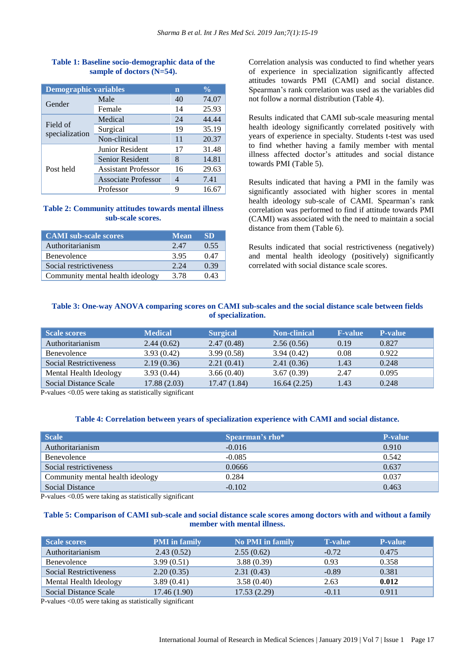| Table 1: Baseline socio-demographic data of the |  |
|-------------------------------------------------|--|
| sample of doctors $(N=54)$ .                    |  |

| <b>Demographic variables</b> |                            | n  | $\frac{0}{\sqrt{2}}$ |
|------------------------------|----------------------------|----|----------------------|
| Gender                       | Male                       | 40 | 74.07                |
|                              | Female                     | 14 | 25.93                |
| Field of<br>specialization   | Medical                    | 24 | 44.44                |
|                              | Surgical                   | 19 | 35.19                |
|                              | Non-clinical               | 11 | 20.37                |
|                              | <b>Junior Resident</b>     | 17 | 31.48                |
|                              | Senior Resident            | 8  | 14.81                |
| Post held                    | <b>Assistant Professor</b> | 16 | 29.63                |
|                              | Associate Professor        | 4  | 7.41                 |
|                              | Professor                  |    | 16.67                |

## **Table 2: Community attitudes towards mental illness sub-scale scores.**

| <b>CAMI</b> sub-scale scores     | Mean' | <b>SD</b> |
|----------------------------------|-------|-----------|
| Authoritarianism                 | 2.47  | 0.55      |
| Benevolence                      | 3.95  | 0.47      |
| Social restrictiveness           | 2.24  | 0.39      |
| Community mental health ideology | 3.78  | 0.43      |

Correlation analysis was conducted to find whether years of experience in specialization significantly affected attitudes towards PMI (CAMI) and social distance. Spearman's rank correlation was used as the variables did not follow a normal distribution (Table 4).

Results indicated that CAMI sub-scale measuring mental health ideology significantly correlated positively with years of experience in specialty. Students t-test was used to find whether having a family member with mental illness affected doctor's attitudes and social distance towards PMI (Table 5).

Results indicated that having a PMI in the family was significantly associated with higher scores in mental health ideology sub-scale of CAMI. Spearman's rank correlation was performed to find if attitude towards PMI (CAMI) was associated with the need to maintain a social distance from them (Table 6).

Results indicated that social restrictiveness (negatively) and mental health ideology (positively) significantly correlated with social distance scale scores.

## **Table 3: One-way ANOVA comparing scores on CAMI sub-scales and the social distance scale between fields of specialization.**

| <b>Scale scores</b>    | <b>Medical</b> | <b>Surgical</b> | <b>Non-clinical</b> | <b>F-value</b> | <b>P-value</b> |
|------------------------|----------------|-----------------|---------------------|----------------|----------------|
| Authoritarianism       | 2.44(0.62)     | 2.47(0.48)      | 2.56(0.56)          | 0.19           | 0.827          |
| Benevolence            | 3.93(0.42)     | 3.99(0.58)      | 3.94(0.42)          | 0.08           | 0.922          |
| Social Restrictiveness | 2.19(0.36)     | 2.21(0.41)      | 2.41(0.36)          | 1.43           | 0.248          |
| Mental Health Ideology | 3.93(0.44)     | 3.66(0.40)      | 3.67(0.39)          | 2.47           | 0.095          |
| Social Distance Scale  | 17.88(2.03)    | 17.47 (1.84)    | 16.64(2.25)         | 1.43           | 0.248          |

P-values <0.05 were taking as statistically significant

#### **Table 4: Correlation between years of specialization experience with CAMI and social distance.**

| Scale                            | Spearman's rho* | <b>P-value</b> |
|----------------------------------|-----------------|----------------|
| Authoritarianism                 | $-0.016$        | 0.910          |
| Benevolence                      | $-0.085$        | 0.542          |
| Social restrictiveness           | 0.0666          | 0.637          |
| Community mental health ideology | 0.284           | 0.037          |
| Social Distance                  | $-0.102$        | 0.463          |

P-values <0.05 were taking as statistically significant

#### Table 5: Comparison of CAMI sub-scale and social distance scale scores among doctors with and without a family **member with mental illness.**

| Scale scores                  | <b>PMI</b> in family | <b>No PMI in family</b> | <b>T-value</b> | <b>P-value</b> |
|-------------------------------|----------------------|-------------------------|----------------|----------------|
| Authoritarianism              | 2.43(0.52)           | 2.55(0.62)              | $-0.72$        | 0.475          |
| Benevolence                   | 3.99(0.51)           | 3.88(0.39)              | 0.93           | 0.358          |
| <b>Social Restrictiveness</b> | 2.20(0.35)           | 2.31(0.43)              | $-0.89$        | 0.381          |
| Mental Health Ideology        | 3.89(0.41)           | 3.58(0.40)              | 2.63           | 0.012          |
| Social Distance Scale         | 17.46(1.90)          | 17.53(2.29)             | $-0.11$        | 0.911          |

P-values <0.05 were taking as statistically significant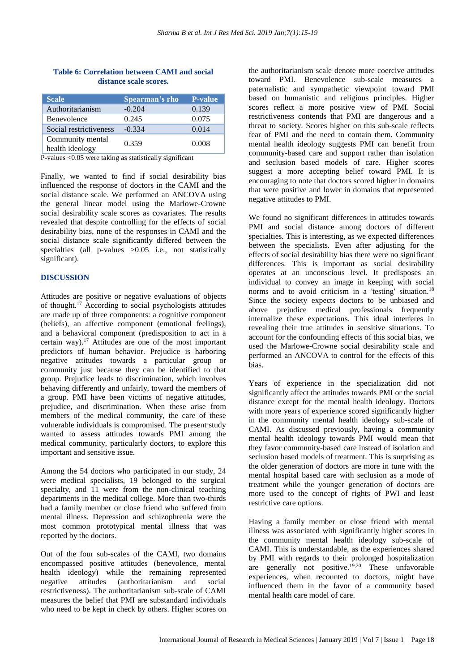| <b>Scale</b>                        | Spearman's rho | <b>P-value</b> |
|-------------------------------------|----------------|----------------|
| Authoritarianism                    | $-0.204$       | 0.139          |
| Benevolence                         | 0.245          | 0.075          |
| Social restrictiveness              | $-0.334$       | 0.014          |
| Community mental<br>health ideology | 0.359          | 0.008          |

#### **Table 6: Correlation between CAMI and social distance scale scores.**

P-values <0.05 were taking as statistically significant

Finally, we wanted to find if social desirability bias influenced the response of doctors in the CAMI and the social distance scale. We performed an ANCOVA using the general linear model using the Marlowe-Crowne social desirability scale scores as covariates. The results revealed that despite controlling for the effects of social desirability bias, none of the responses in CAMI and the social distance scale significantly differed between the specialties (all p-values  $>0.05$  i.e., not statistically significant).

#### **DISCUSSION**

Attitudes are positive or negative evaluations of objects of thought.<sup>17</sup> According to social psychologists attitudes are made up of three components: a cognitive component (beliefs), an affective component (emotional feelings), and a behavioral component (predisposition to act in a certain way).<sup>17</sup> Attitudes are one of the most important predictors of human behavior. Prejudice is harboring negative attitudes towards a particular group or community just because they can be identified to that group. Prejudice leads to discrimination, which involves behaving differently and unfairly, toward the members of a group. PMI have been victims of negative attitudes, prejudice, and discrimination. When these arise from members of the medical community, the care of these vulnerable individuals is compromised. The present study wanted to assess attitudes towards PMI among the medical community, particularly doctors, to explore this important and sensitive issue.

Among the 54 doctors who participated in our study, 24 were medical specialists, 19 belonged to the surgical specialty, and 11 were from the non-clinical teaching departments in the medical college. More than two-thirds had a family member or close friend who suffered from mental illness. Depression and schizophrenia were the most common prototypical mental illness that was reported by the doctors.

Out of the four sub-scales of the CAMI, two domains encompassed positive attitudes (benevolence, mental health ideology) while the remaining represented negative attitudes (authoritarianism and social restrictiveness). The authoritarianism sub-scale of CAMI measures the belief that PMI are substandard individuals who need to be kept in check by others. Higher scores on the authoritarianism scale denote more coercive attitudes toward PMI. Benevolence sub-scale measures a paternalistic and sympathetic viewpoint toward PMI based on humanistic and religious principles. Higher scores reflect a more positive view of PMI. Social restrictiveness contends that PMI are dangerous and a threat to society. Scores higher on this sub-scale reflects fear of PMI and the need to contain them. Community mental health ideology suggests PMI can benefit from community-based care and support rather than isolation and seclusion based models of care. Higher scores suggest a more accepting belief toward PMI. It is encouraging to note that doctors scored higher in domains that were positive and lower in domains that represented negative attitudes to PMI.

We found no significant differences in attitudes towards PMI and social distance among doctors of different specialties. This is interesting, as we expected differences between the specialists. Even after adjusting for the effects of social desirability bias there were no significant differences. This is important as social desirability operates at an unconscious level. It predisposes an individual to convey an image in keeping with social norms and to avoid criticism in a 'testing' situation.<sup>18</sup> Since the society expects doctors to be unbiased and above prejudice medical professionals frequently internalize these expectations. This ideal interferes in revealing their true attitudes in sensitive situations. To account for the confounding effects of this social bias, we used the Marlowe-Crowne social desirability scale and performed an ANCOVA to control for the effects of this bias.

Years of experience in the specialization did not significantly affect the attitudes towards PMI or the social distance except for the mental health ideology. Doctors with more years of experience scored significantly higher in the community mental health ideology sub-scale of CAMI. As discussed previously, having a community mental health ideology towards PMI would mean that they favor community-based care instead of isolation and seclusion based models of treatment. This is surprising as the older generation of doctors are more in tune with the mental hospital based care with seclusion as a mode of treatment while the younger generation of doctors are more used to the concept of rights of PWI and least restrictive care options.

Having a family member or close friend with mental illness was associated with significantly higher scores in the community mental health ideology sub-scale of CAMI. This is understandable, as the experiences shared by PMI with regards to their prolonged hospitalization are generally not positive.<sup>19,20</sup> These unfavorable experiences, when recounted to doctors, might have influenced them in the favor of a community based mental health care model of care.